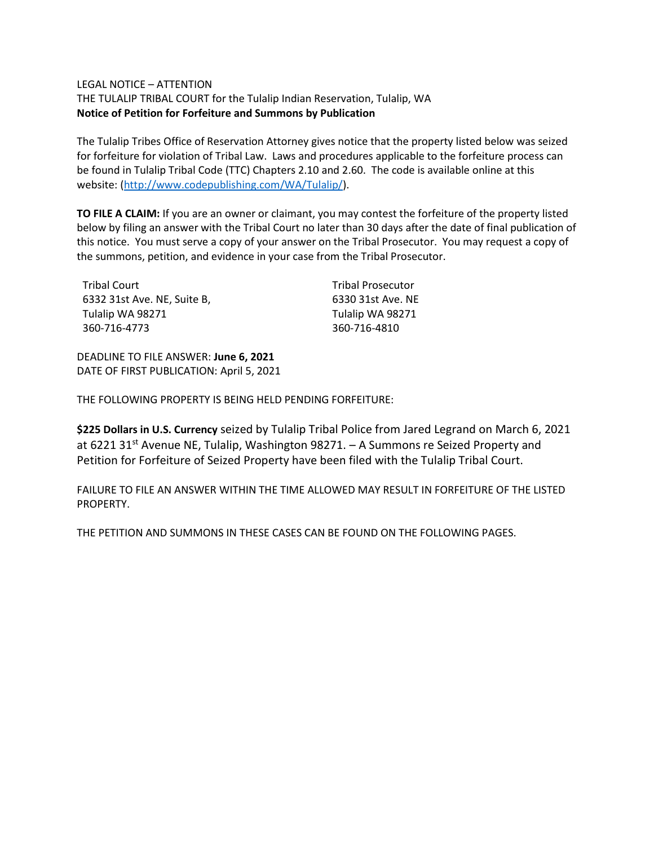## LEGAL NOTICE – ATTENTION

THE TULALIP TRIBAL COURT for the Tulalip Indian Reservation, Tulalip, WA **Notice of Petition for Forfeiture and Summons by Publication**

The Tulalip Tribes Office of Reservation Attorney gives notice that the property listed below was seized for forfeiture for violation of Tribal Law. Laws and procedures applicable to the forfeiture process can be found in Tulalip Tribal Code (TTC) Chapters 2.10 and 2.60. The code is available online at this website: [\(http://www.codepublishing.com/WA/Tulalip/\)](http://www.codepublishing.com/WA/Tulalip/).

**TO FILE A CLAIM:** If you are an owner or claimant, you may contest the forfeiture of the property listed below by filing an answer with the Tribal Court no later than 30 days after the date of final publication of this notice. You must serve a copy of your answer on the Tribal Prosecutor. You may request a copy of the summons, petition, and evidence in your case from the Tribal Prosecutor.

| Tribal Court                | <b>Tribal Prosecutor</b> |
|-----------------------------|--------------------------|
| 6332 31st Ave. NE. Suite B. | 6330 31st Ave. NE        |
| Tulalip WA 98271            | Tulalip WA 98271         |
| 360-716-4773                | 360-716-4810             |

DEADLINE TO FILE ANSWER: **June 6, 2021** DATE OF FIRST PUBLICATION: April 5, 2021

THE FOLLOWING PROPERTY IS BEING HELD PENDING FORFEITURE:

**\$225 Dollars in U.S. Currency** seized by Tulalip Tribal Police from Jared Legrand on March 6, 2021 at 6221 31<sup>st</sup> Avenue NE, Tulalip, Washington 98271. - A Summons re Seized Property and Petition for Forfeiture of Seized Property have been filed with the Tulalip Tribal Court.

FAILURE TO FILE AN ANSWER WITHIN THE TIME ALLOWED MAY RESULT IN FORFEITURE OF THE LISTED PROPERTY.

THE PETITION AND SUMMONS IN THESE CASES CAN BE FOUND ON THE FOLLOWING PAGES.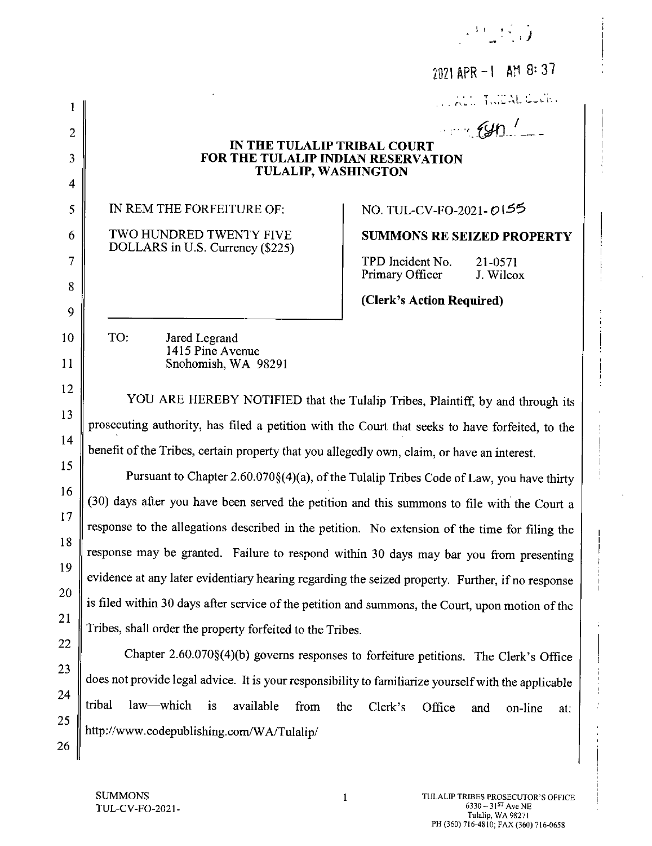|                | 2021 APR - 1 AM 8:37                                                                                 |  |  |
|----------------|------------------------------------------------------------------------------------------------------|--|--|
|                | WALL THEAL COCK                                                                                      |  |  |
| $\overline{c}$ | $\frac{1}{2}$                                                                                        |  |  |
| 3              | IN THE TULALIP TRIBAL COURT<br>FOR THE TULALIP INDIAN RESERVATION                                    |  |  |
| 4              | <b>TULALIP, WASHINGTON</b>                                                                           |  |  |
| 5              | IN REM THE FORFEITURE OF:<br>NO. TUL-CV-FO-2021-0155                                                 |  |  |
| 6              | TWO HUNDRED TWENTY FIVE<br><b>SUMMONS RE SEIZED PROPERTY</b>                                         |  |  |
| 7              | DOLLARS in U.S. Currency (\$225)<br>TPD Incident No.<br>21-0571<br>Primary Officer<br>J. Wilcox      |  |  |
| 8              | (Clerk's Action Required)                                                                            |  |  |
| 9              |                                                                                                      |  |  |
| 10             | TO:<br>Jared Legrand<br>1415 Pine Avenue                                                             |  |  |
| 11             | Snohomish, WA 98291                                                                                  |  |  |
| 12             | YOU ARE HEREBY NOTIFIED that the Tulalip Tribes, Plaintiff, by and through its                       |  |  |
| 13             | prosecuting authority, has filed a petition with the Court that seeks to have forfeited, to the      |  |  |
| 14             | benefit of the Tribes, certain property that you allegedly own, claim, or have an interest.          |  |  |
| 15             |                                                                                                      |  |  |
| 16             | Pursuant to Chapter 2.60.070§(4)(a), of the Tulalip Tribes Code of Law, you have thirty              |  |  |
| 17             | (30) days after you have been served the petition and this summons to file with the Court a          |  |  |
| 18             | response to the allegations described in the petition. No extension of the time for filing the       |  |  |
| 19             | response may be granted. Failure to respond within 30 days may bar you from presenting               |  |  |
| 20             | evidence at any later evidentiary hearing regarding the seized property. Further, if no response     |  |  |
| 21             | is filed within 30 days after service of the petition and summons, the Court, upon motion of the     |  |  |
| 22             | Tribes, shall order the property forfeited to the Tribes.                                            |  |  |
| 23             | Chapter 2.60.070§(4)(b) governs responses to forfeiture petitions. The Clerk's Office                |  |  |
| 24             | does not provide legal advice. It is your responsibility to familiarize yourself with the applicable |  |  |
| 25             | tribal<br>law—which<br>is<br>available<br>from<br>the<br>Clerk's<br>Office<br>on-line<br>and<br>at:  |  |  |
| 26             | http://www.codepublishing.com/WA/Tulalip/                                                            |  |  |

 $\mathbb{R}^3 \subset \mathbb{R}^3$  .

 $\mathbf{1}$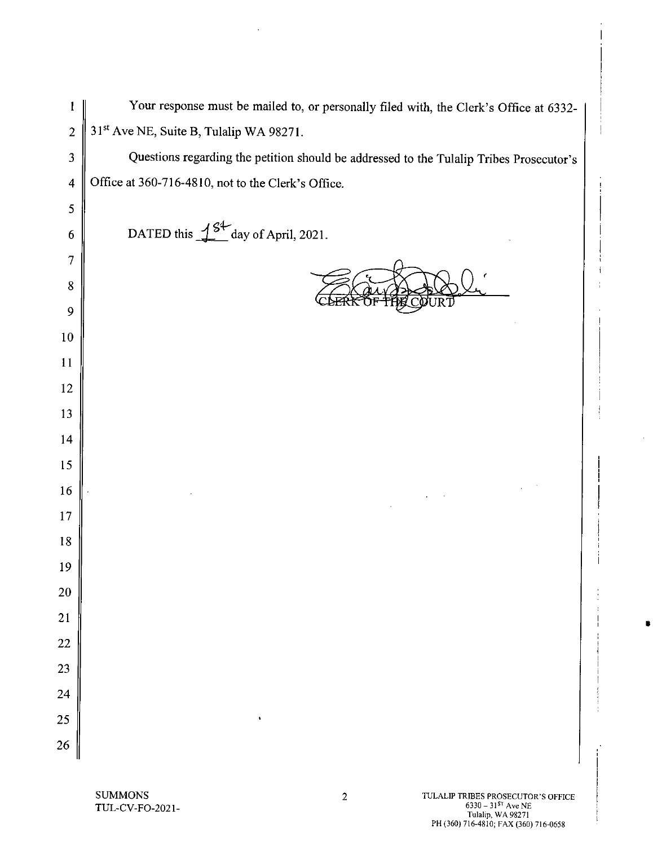| 1                       | Your response must be mailed to, or personally filed with, the Clerk's Office at 6332-  |
|-------------------------|-----------------------------------------------------------------------------------------|
| $\overline{2}$          | 31 <sup>st</sup> Ave NE, Suite B, Tulalip WA 98271.                                     |
| $\overline{\mathbf{3}}$ | Questions regarding the petition should be addressed to the Tulalip Tribes Prosecutor's |
| $\overline{4}$          | Office at 360-716-4810, not to the Clerk's Office.                                      |
| 5                       |                                                                                         |
| 6                       | DATED this $\frac{1}{2}$ day of April, 2021.                                            |
| 7                       |                                                                                         |
| 8                       |                                                                                         |
| 9                       |                                                                                         |
| 10                      |                                                                                         |
| 11                      |                                                                                         |
| 12                      |                                                                                         |
| 13                      |                                                                                         |
| 14                      |                                                                                         |
| 15                      |                                                                                         |
| 16                      |                                                                                         |
| $17\,$                  |                                                                                         |
| 18                      |                                                                                         |
| 19                      |                                                                                         |
| 20                      |                                                                                         |
| 21                      |                                                                                         |
| 22                      |                                                                                         |
| 23<br>24                |                                                                                         |
| 25                      |                                                                                         |
| 26                      |                                                                                         |
|                         |                                                                                         |

 $\bar{z}$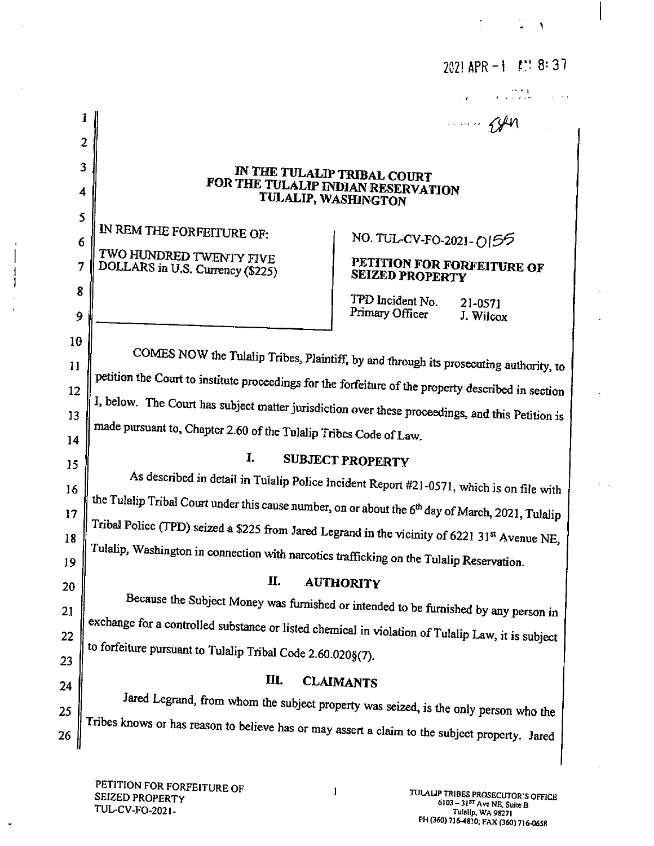|                       | 1                                                                                                             | $\cdots$ $\zeta$ en                                                                  |  |
|-----------------------|---------------------------------------------------------------------------------------------------------------|--------------------------------------------------------------------------------------|--|
|                       | $\overline{2}$                                                                                                |                                                                                      |  |
| 3                     | IN THE TULALIP TRIBAL COURT                                                                                   |                                                                                      |  |
| 4                     | FOR THE TULALIP INDIAN RESERVATION<br>TULALIP, WASHINGTON                                                     |                                                                                      |  |
| 5<br>6                | IN REM THE FORFEITURE OF:                                                                                     | NO. TUL-CV-FO-2021-0155                                                              |  |
| $\overline{7}$        | TWO HUNDRED TWENTY FIVE<br>DOLLARS in U.S. Currency (\$225)                                                   | PETITION FOR FORFEITURE OF<br><b>SEIZED PROPERTY</b>                                 |  |
| $\boldsymbol{8}$<br>9 |                                                                                                               | TPD Incident No.<br>21-0571<br>Primary Officer<br>J. Wilcox                          |  |
| 10                    |                                                                                                               |                                                                                      |  |
| 11                    | COMES NOW the Tulalip Tribes, Plaintiff, by and through its prosecuting authority, to                         |                                                                                      |  |
| 12                    | petition the Court to institute proceedings for the forfeiture of the property described in section           |                                                                                      |  |
| 13                    | I, below. The Court has subject matter jurisdiction over these proceedings, and this Petition is              |                                                                                      |  |
| 14                    | made pursuant to, Chapter 2.60 of the Tulalip Tribes Code of Law.                                             |                                                                                      |  |
| 15                    | I.<br><b>SUBJECT PROPERTY</b>                                                                                 |                                                                                      |  |
| 16                    | As described in detail in Tulalip Police Incident Report #21-0571, which is on file with                      |                                                                                      |  |
| 17                    | the Tulalip Tribal Court under this cause number, on or about the 6 <sup>th</sup> day of March, 2021, Tulalip |                                                                                      |  |
| 18                    | Tribal Police (TPD) seized a \$225 from Jared Legrand in the vicinity of 6221 31st Avenue NE,                 |                                                                                      |  |
| 19                    | Tulalip, Washington in connection with narcotics trafficking on the Tulalip Reservation.                      |                                                                                      |  |
| 20                    | П.                                                                                                            | <b>AUTHORITY</b>                                                                     |  |
| 21                    |                                                                                                               | Because the Subject Money was furnished or intended to be furnished by any person in |  |
| 22                    | exchange for a controlled substance or listed chemical in violation of Tulalip Law, it is subject             |                                                                                      |  |
| 23                    | to forfeiture pursuant to Tulalip Tribal Code 2.60.020§(7).                                                   |                                                                                      |  |
| 24                    | Ш.                                                                                                            | <b>CLAIMANTS</b>                                                                     |  |
| 25                    | Jared Legrand, from whom the subject property was seized, is the only person who the                          |                                                                                      |  |
| 26                    | Tribes knows or has reason to believe has or may assert a claim to the subject property. Jared                |                                                                                      |  |

 $\mathbf{I}$ 

 $\sim$ 

ţ J

 $\bullet$ 

 $\mathbb{R}^n \times \mathbb{R}^n$  .

2021 APR  $-1$  £:18:37

 $\lambda_{\rm max}$ 

 $\overline{1}$